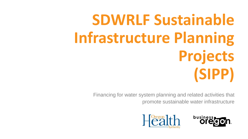# **SDWRLF Sustainable Infrastructure Planning Projects (SIPP)**

Financing for water system planning and related activities that promote sustainable water infrastructure



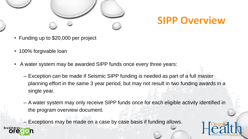

## **SIPP Overview**

- Funding up to \$20,000 per project
- 100% forgivable loan
- A water system may be awarded SIPP funds once every three years:
	- Exception can be made if Seismic SIPP funding is needed as part of a full master planning effort in the same 3 year period, but may not result in two funding awards in a single year.
	- A water system may only receive SIPP funds once for each eligible activity identified in the program overview document.
	- Exceptions may be made on a case by case basis if funding allows.



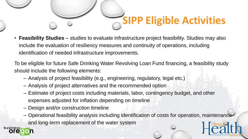

• **Feasibility Studies** – studies to evaluate infrastructure project feasibility. Studies may also include the evaluation of resiliency measures and continuity of operations, including identification of needed infrastructure improvements.

To be eligible for future Safe Drinking Water Revolving Loan Fund financing, a feasibility study should include the following elements:

- Analysis of project feasibility (e.g., engineering, regulatory, legal etc.)
- Analysis of project alternatives and the recommended option
- Estimate of project costs including materials, labor, contingency budget, and other expenses adjusted for inflation depending on timeline
- Design and/or construction timeline
- Operational feasibility analysis including identification of costs for operation, maintenance and long-term replacement of the water system

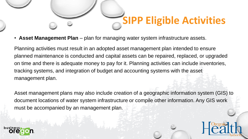

• **Asset Management Plan** – plan for managing water system infrastructure assets.

Planning activities must result in an adopted asset management plan intended to ensure planned maintenance is conducted and capital assets can be repaired, replaced, or upgraded on time and there is adequate money to pay for it. Planning activities can include inventories, tracking systems, and integration of budget and accounting systems with the asset management plan.

Asset management plans may also include creation of a geographic information system (GIS) to document locations of water system infrastructure or compile other information. Any GIS work must be accompanied by an management plan.

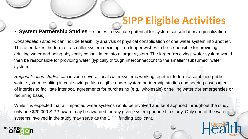## **SIPP Eligible Activities**

#### • **System Partnership Studies** – studies to evaluate potential for system consolidation/regionalization.

*Consolidation studies* can include feasibility analysis of physical consolidation of one water system into another. This often takes the form of a smaller system deciding it no longer wishes to be responsible for providing drinking water and being physically consolidated into a larger system. The larger "receiving" water system would then be responsible for providing water (typically through interconnection) to the smaller "subsumed" water system.

*Regionalization studies* can include several local water systems working together to form a combined public water system resulting in cost savings. Also eligible under system partnership studies engineering assessment of interties to facilitate interlocal agreements for purchasing (e.g., wholesale) or selling water (for emergencies or recurring basis).

While it is expected that all impacted water systems would be involved and kept apprised throughout the study, only one \$20,000 SIPP award may be awarded for any given system partnership study. Only one of the water systems involved in the study may serve as the SIPP funding applicant.

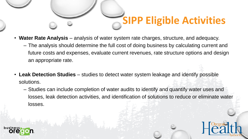

- **Water Rate Analysis** analysis of water system rate charges, structure, and adequacy.
	- The analysis should determine the full cost of doing business by calculating current and future costs and expenses, evaluate current revenues, rate structure options and design an appropriate rate.
- **Leak Detection Studies** studies to detect water system leakage and identify possible solutions.
	- Studies can include completion of water audits to identify and quantify water uses and losses, leak detection activities, and identification of solutions to reduce or eliminate water losses.



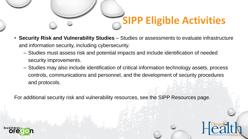

- **Security Risk and Vulnerability Studies** Studies or assessments to evaluate infrastructure and information security, including cybersecurity.
	- Studies must assess risk and potential impacts and include identification of needed security improvements.
	- Studies may also include identification of critical information technology assets, process controls, communications and personnel, and the development of security procedures and protocols.

For additional security risk and vulnerability resources, see the SIPP Resources page.



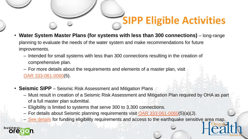

- **Water System Master Plans (for systems with less than 300 connections)** long-range planning to evaluate the needs of the water system and make recommendations for future improvements.
	- Intended for small systems with less than 300 connections resulting in the creation of comprehensive plan.
	- For more details about the requirements and elements of a master plan, visit [OAR 333-061-0060\(](https://www.oregon.gov/oha/PH/HealthyEnvironments/DrinkingWater/Rules/Documents/61-0060.pdf)5).
- **Seismic SIPP** Seismic Risk Assessment and Mitigation Plans
	- Must result in creation of a Seismic Risk Assessment and Mitigation Plan required by OHA as part of a full master plan submittal.
	- Eligibility is limited to systems that serve 300 to 3,300 connections.
	- For details about Seismic planning requirements visit [OAR 333-061-0060\(](https://www.oregon.gov/oha/PH/HealthyEnvironments/DrinkingWater/Rules/Documents/61-0060.pdf)5)(a)(J).
	- [See details](https://www.oregon.gov/oha/PH/HEALTHYENVIRONMENTS/DRINKINGWATER/SRF/Documents/sipp-seismic-details.pdf) for funding eligibility requirements and access to the earthquake sensitive area map.

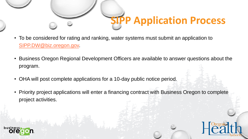

- To be considered for rating and ranking, water systems must submit an application to [SIPP.DW@biz.oregon.gov.](mailto:SIPP.DW@biz.oregon.gov)
- Business Oregon Regional Development Officers are available to answer questions about the program.
- OHA will post complete applications for a 10-day public notice period.
- Priority project applications will enter a financing contract with Business Oregon to complete project activities.



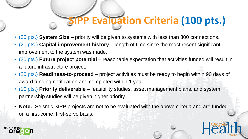# **P Evaluation Criteria (100 pts.)**

- (30 pts.) **System Size** priority will be given to systems with less than 300 connections.
- (20 pts.) **Capital improvement history** length of time since the most recent significant improvement to the system was made.
- (20 pts.) **Future project potential** reasonable expectation that activities funded will result in a future infrastructure project.
- (20 pts.) **Readiness-to-proceed** project activities must be ready to begin within 90 days of award funding notification and completed within 1 year.
- (10 pts.) **Priority deliverable** feasibility studies, asset management plans, and system partnership studies will be given higher priority.
- **Note:** Seismic SIPP projects are not to be evaluated with the above criteria and are funded on a first-come, first-serve basis.

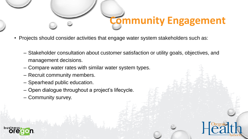

- Projects should consider activities that engage water system stakeholders such as:
	- Stakeholder consultation about customer satisfaction or utility goals, objectives, and management decisions.
	- Compare water rates with similar water system types.
	- Recruit community members.
	- Spearhead public education.
	- Open dialogue throughout a project's lifecycle.
	- Community survey.



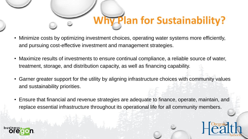

- Minimize costs by optimizing investment choices, operating water systems more efficiently, and pursuing cost-effective investment and management strategies.
- Maximize results of investments to ensure continual compliance, a reliable source of water, treatment, storage, and distribution capacity, as well as financing capability.
- Garner greater support for the utility by aligning infrastructure choices with community values and sustainability priorities.
- Ensure that financial and revenue strategies are adequate to finance, operate, maintain, and replace essential infrastructure throughout its operational life for all community members.